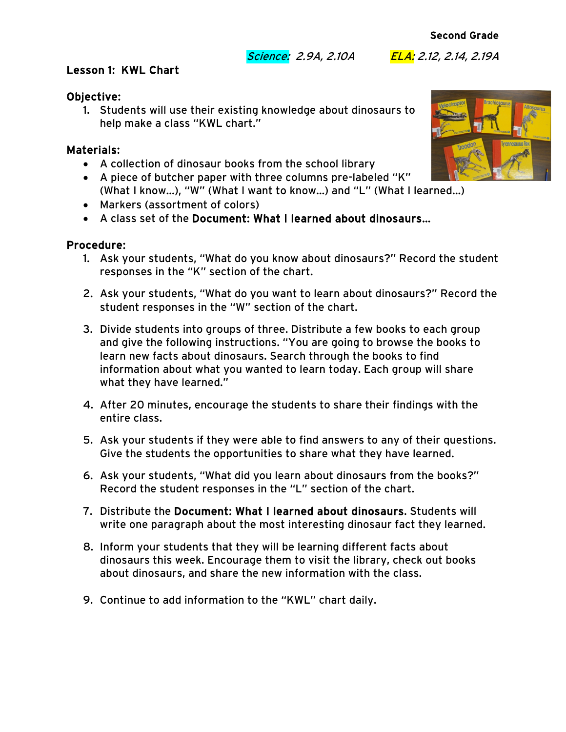Science: 2.9A, 2.10A ELA: 2.12, 2.14, 2.19A

### Lesson 1: KWL Chart

### Objective:

1. Students will use their existing knowledge about dinosaurs to help make a class "KWL chart."

# Materials:

- A collection of dinosaur books from the school library
- A piece of butcher paper with three columns pre-labeled "K" (What I know…), "W" (What I want to know…) and "L" (What I learned…)
- Markers (assortment of colors)
- A class set of the Document: What I learned about dinosaurs…

#### Procedure:

- 1. Ask your students, "What do you know about dinosaurs?" Record the student responses in the "K" section of the chart.
- 2. Ask your students, "What do you want to learn about dinosaurs?" Record the student responses in the "W" section of the chart.
- 3. Divide students into groups of three. Distribute a few books to each group and give the following instructions. "You are going to browse the books to learn new facts about dinosaurs. Search through the books to find information about what you wanted to learn today. Each group will share what they have learned."
- 4. After 20 minutes, encourage the students to share their findings with the entire class.
- 5. Ask your students if they were able to find answers to any of their questions. Give the students the opportunities to share what they have learned.
- 6. Ask your students, "What did you learn about dinosaurs from the books?" Record the student responses in the "L" section of the chart.
- 7. Distribute the Document: What I learned about dinosaurs. Students will write one paragraph about the most interesting dinosaur fact they learned.
- 8. Inform your students that they will be learning different facts about dinosaurs this week. Encourage them to visit the library, check out books about dinosaurs, and share the new information with the class.
- 9. Continue to add information to the "KWL" chart daily.